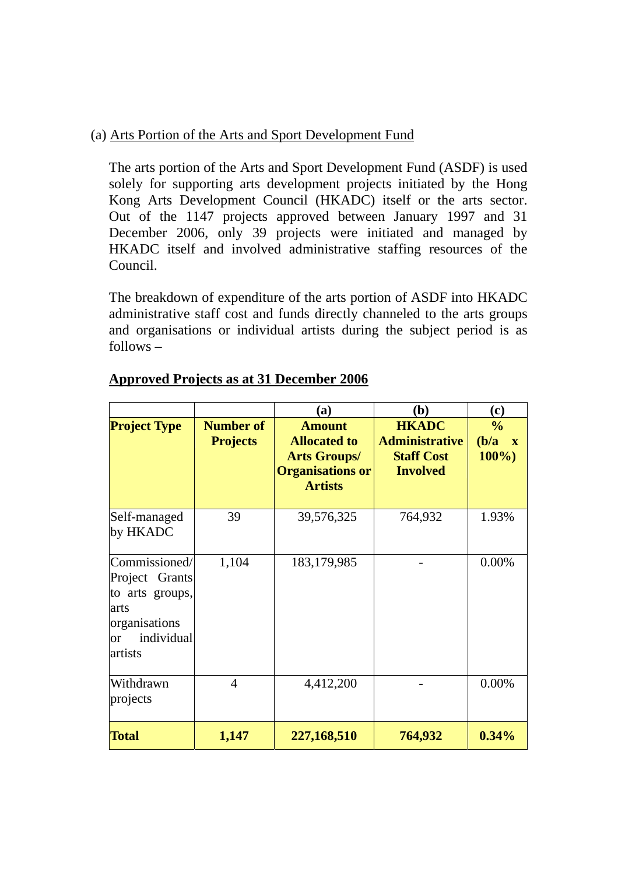## (a) Arts Portion of the Arts and Sport Development Fund

The arts portion of the Arts and Sport Development Fund (ASDF) is used solely for supporting arts development projects initiated by the Hong Kong Arts Development Council (HKADC) itself or the arts sector. Out of the 1147 projects approved between January 1997 and 31 December 2006, only 39 projects were initiated and managed by HKADC itself and involved administrative staffing resources of the Council.

The breakdown of expenditure of the arts portion of ASDF into HKADC administrative staff cost and funds directly channeled to the arts groups and organisations or individual artists during the subject period is as follows –

|                                                                                                                       |                                     | (a)                                                                                                      | (b)                                                                           | (c)                                               |
|-----------------------------------------------------------------------------------------------------------------------|-------------------------------------|----------------------------------------------------------------------------------------------------------|-------------------------------------------------------------------------------|---------------------------------------------------|
| <b>Project Type</b>                                                                                                   | <b>Number of</b><br><b>Projects</b> | <b>Amount</b><br><b>Allocated to</b><br><b>Arts Groups/</b><br><b>Organisations or</b><br><b>Artists</b> | <b>HKADC</b><br><b>Administrative</b><br><b>Staff Cost</b><br><b>Involved</b> | $\frac{0}{0}$<br>(b/a)<br>$\mathbf{X}$<br>$100\%$ |
| Self-managed<br>by HKADC                                                                                              | 39                                  | 39,576,325                                                                                               | 764,932                                                                       | 1.93%                                             |
| Commissioned/<br>Project Grants<br>to arts groups,<br>arts<br>organisations<br>individual<br><sub>or</sub><br>artists | 1,104                               | 183, 179, 985                                                                                            |                                                                               | 0.00%                                             |
| Withdrawn<br>projects                                                                                                 | $\overline{4}$                      | 4,412,200                                                                                                |                                                                               | 0.00%                                             |
| <b>Total</b>                                                                                                          | 1,147                               | 227,168,510                                                                                              | 764,932                                                                       | 0.34%                                             |

## **Approved Projects as at 31 December 2006**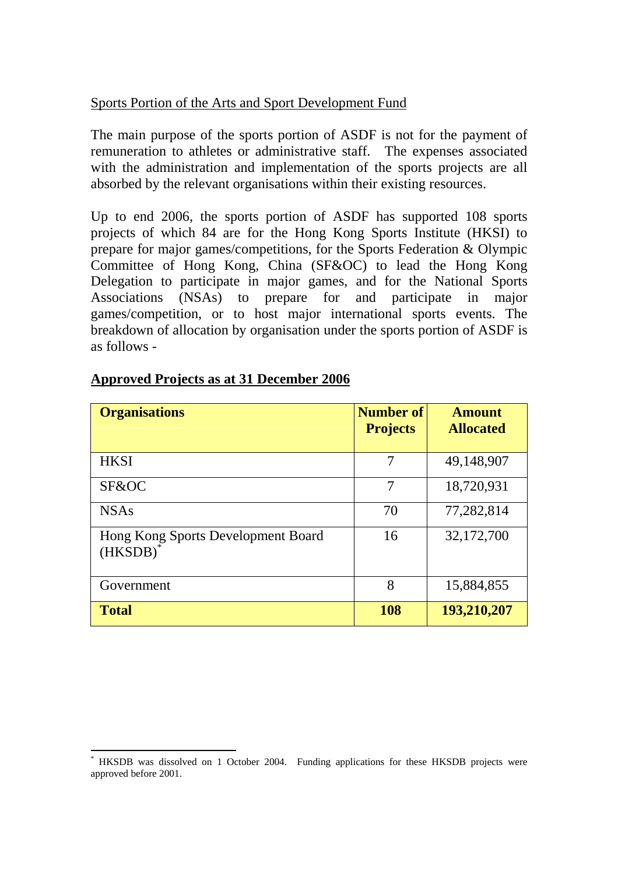## Sports Portion of the Arts and Sport Development Fund

The main purpose of the sports portion of ASDF is not for the payment of remuneration to athletes or administrative staff. The expenses associated with the administration and implementation of the sports projects are all absorbed by the relevant organisations within their existing resources.

Up to end 2006, the sports portion of ASDF has supported 108 sports projects of which 84 are for the Hong Kong Sports Institute (HKSI) to prepare for major games/competitions, for the Sports Federation & Olympic Committee of Hong Kong, China (SF&OC) to lead the Hong Kong Delegation to participate in major games, and for the National Sports Associations (NSAs) to prepare for and participate in major games/competition, or to host major international sports events. The breakdown of allocation by organisation under the sports portion of ASDF is as follows -

| <b>Organisations</b>                          | <b>Number of</b><br><b>Projects</b> | <b>Amount</b><br><b>Allocated</b> |
|-----------------------------------------------|-------------------------------------|-----------------------------------|
| <b>HKSI</b>                                   | 7                                   | 49,148,907                        |
| SF&OC                                         | 7                                   | 18,720,931                        |
| <b>NSAs</b>                                   | 70                                  | 77,282,814                        |
| Hong Kong Sports Development Board<br>(HKSDB) | 16                                  | 32,172,700                        |
| Government                                    | 8                                   | 15,884,855                        |
| <b>Total</b>                                  | 108                                 | 193,210,207                       |

## **Approved Projects as at 31 December 2006**

 $\overline{a}$ 

<sup>\*</sup> HKSDB was dissolved on 1 October 2004. Funding applications for these HKSDB projects were approved before 2001.